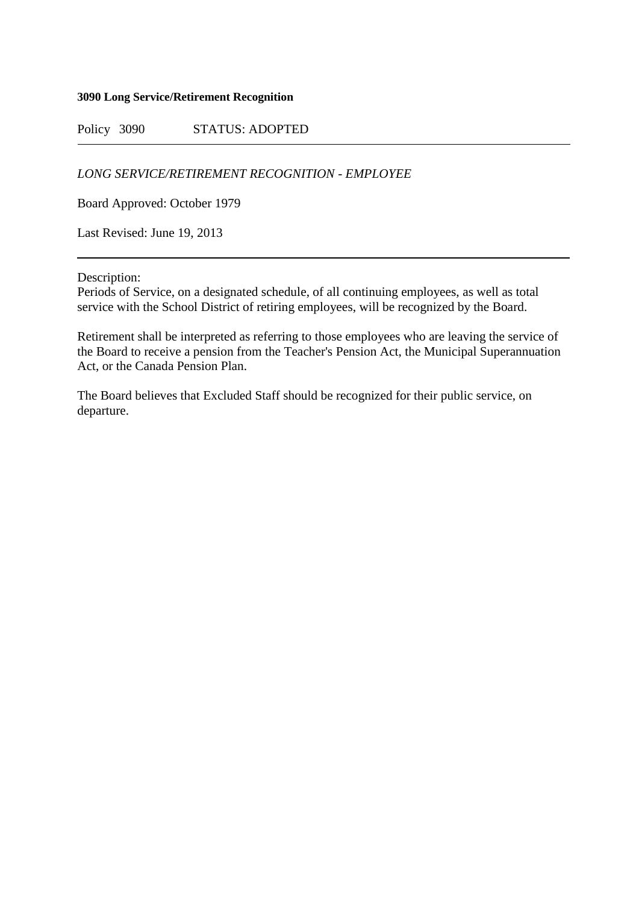#### **3090 Long Service/Retirement Recognition**

Policy 3090 STATUS: ADOPTED

*LONG SERVICE/RETIREMENT RECOGNITION - EMPLOYEE*

Board Approved: October 1979

Last Revised: June 19, 2013

Description:

Periods of Service, on a designated schedule, of all continuing employees, as well as total service with the School District of retiring employees, will be recognized by the Board.

Retirement shall be interpreted as referring to those employees who are leaving the service of the Board to receive a pension from the Teacher's Pension Act, the Municipal Superannuation Act, or the Canada Pension Plan.

The Board believes that Excluded Staff should be recognized for their public service, on departure.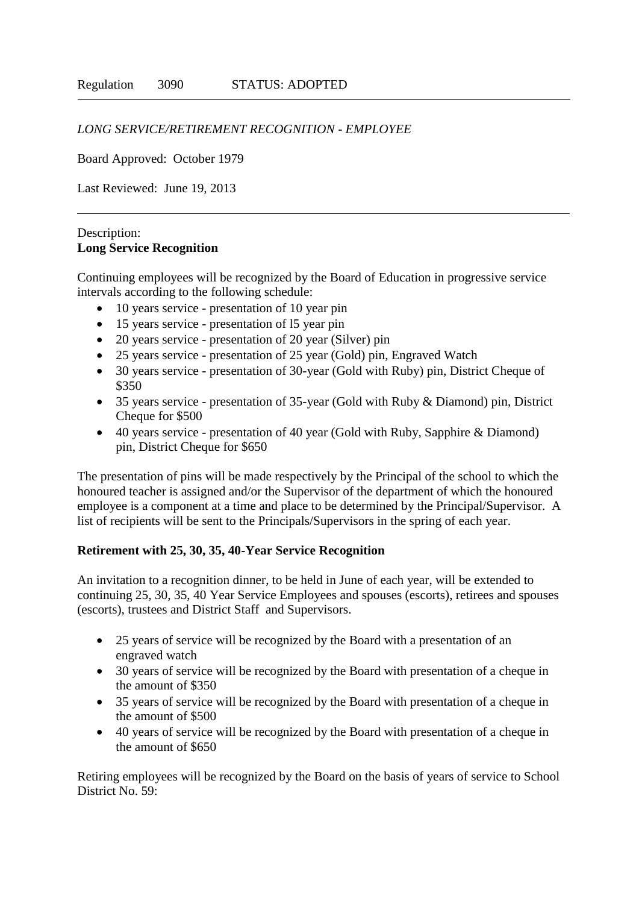## *LONG SERVICE/RETIREMENT RECOGNITION - EMPLOYEE*

Board Approved: October 1979

Last Reviewed: June 19, 2013

#### Description: **Long Service Recognition**

Continuing employees will be recognized by the Board of Education in progressive service intervals according to the following schedule:

- 10 years service presentation of 10 year pin
- 15 years service presentation of l5 year pin
- 20 years service presentation of 20 year (Silver) pin
- 25 years service presentation of 25 year (Gold) pin, Engraved Watch
- 30 years service presentation of 30-year (Gold with Ruby) pin, District Cheque of \$350
- 35 years service presentation of 35-year (Gold with Ruby & Diamond) pin, District Cheque for \$500
- 40 years service presentation of 40 year (Gold with Ruby, Sapphire & Diamond) pin, District Cheque for \$650

The presentation of pins will be made respectively by the Principal of the school to which the honoured teacher is assigned and/or the Supervisor of the department of which the honoured employee is a component at a time and place to be determined by the Principal/Supervisor. A list of recipients will be sent to the Principals/Supervisors in the spring of each year.

### **Retirement with 25, 30, 35, 40-Year Service Recognition**

An invitation to a recognition dinner, to be held in June of each year, will be extended to continuing 25, 30, 35, 40 Year Service Employees and spouses (escorts), retirees and spouses (escorts), trustees and District Staff and Supervisors.

- 25 years of service will be recognized by the Board with a presentation of an engraved watch
- 30 years of service will be recognized by the Board with presentation of a cheque in the amount of \$350
- 35 years of service will be recognized by the Board with presentation of a cheque in the amount of \$500
- 40 years of service will be recognized by the Board with presentation of a cheque in the amount of \$650

Retiring employees will be recognized by the Board on the basis of years of service to School District No. 59: